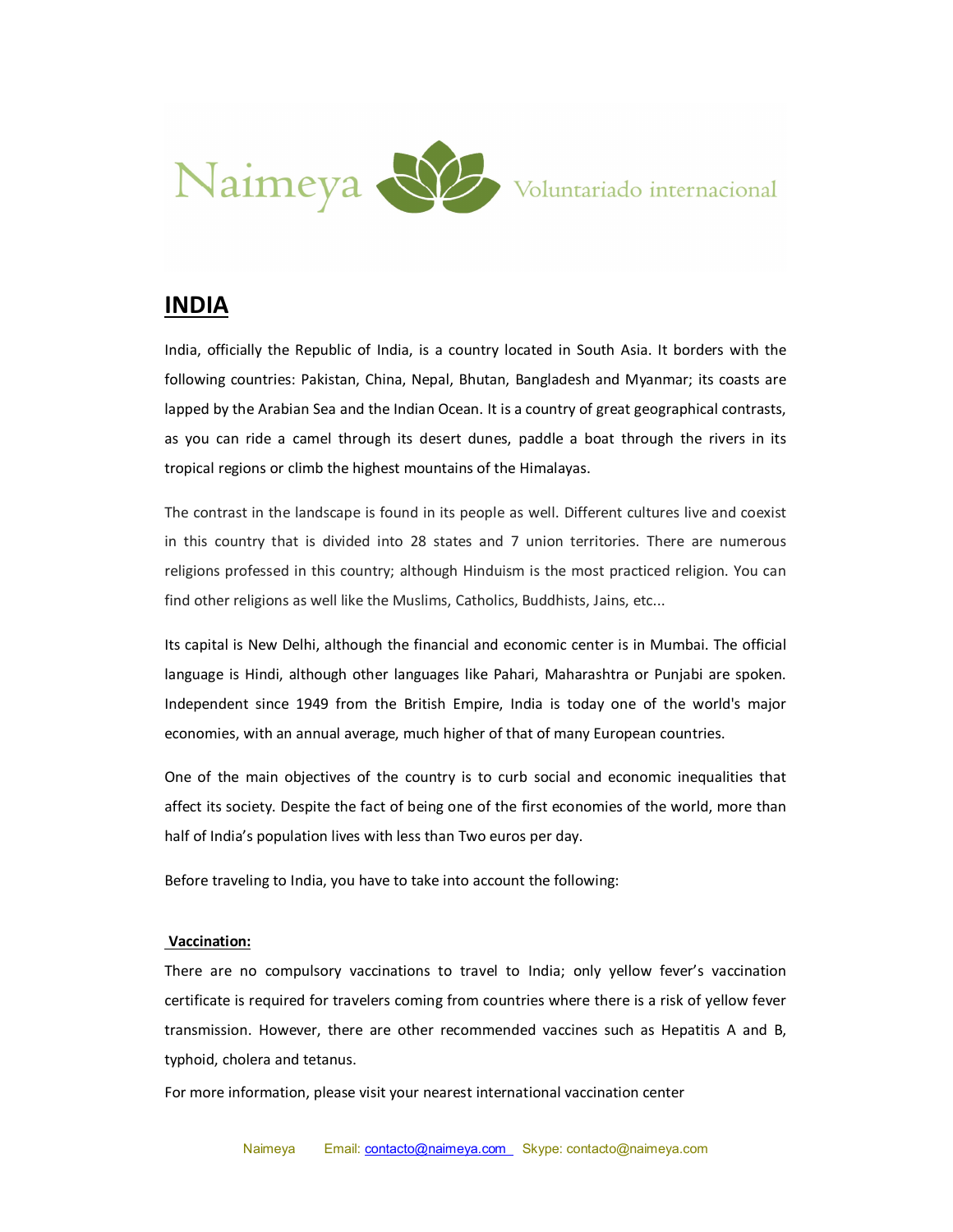

# **INDIA**

India, officially the Republic of India, is a country located in South Asia. It borders with the following countries: Pakistan, China, Nepal, Bhutan, Bangladesh and Myanmar; its coasts are lapped by the Arabian Sea and the Indian Ocean. It is a country of great geographical contrasts, as you can ride a camel through its desert dunes, paddle a boat through the rivers in its tropical regions or climb the highest mountains of the Himalayas.

The contrast in the landscape is found in its people as well. Different cultures live and coexist in this country that is divided into 28 states and 7 union territories. There are numerous religions professed in this country; although Hinduism is the most practiced religion. You can find other religions as well like the Muslims, Catholics, Buddhists, Jains, etc...

Its capital is New Delhi, although the financial and economic center is in Mumbai. The official language is Hindi, although other languages like Pahari, Maharashtra or Punjabi are spoken. Independent since 1949 from the British Empire, India is today one of the world's major economies, with an annual average, much higher of that of many European countries.

One of the main objectives of the country is to curb social and economic inequalities that affect its society. Despite the fact of being one of the first economies of the world, more than half of India's population lives with less than Two euros per day.

Before traveling to India, you have to take into account the following:

#### **Vaccination:**

There are no compulsory vaccinations to travel to India; only yellow fever's vaccination certificate is required for travelers coming from countries where there is a risk of yellow fever transmission. However, there are other recommended vaccines such as Hepatitis A and B, typhoid, cholera and tetanus.

For more information, please visit your nearest international vaccination center